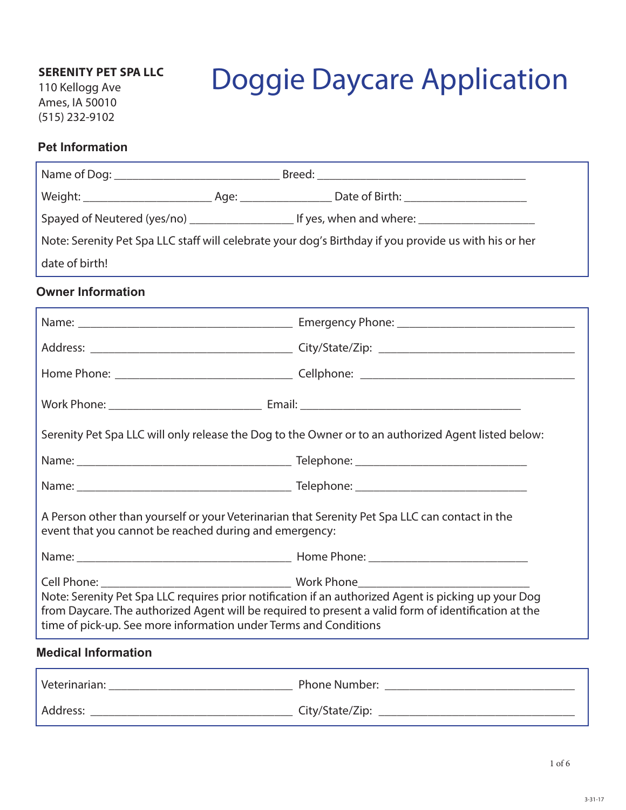### **SERENITY PET SPA LLC**

110 Kellogg Ave Ames, IA 50010 (515) 232-9102

# Doggie Daycare Application

#### **Pet Information**

|                                                        | Note: Serenity Pet Spa LLC staff will celebrate your dog's Birthday if you provide us with his or her                                                                                                                                                                            |
|--------------------------------------------------------|----------------------------------------------------------------------------------------------------------------------------------------------------------------------------------------------------------------------------------------------------------------------------------|
| date of birth!                                         |                                                                                                                                                                                                                                                                                  |
| <b>Owner Information</b>                               |                                                                                                                                                                                                                                                                                  |
|                                                        |                                                                                                                                                                                                                                                                                  |
|                                                        |                                                                                                                                                                                                                                                                                  |
|                                                        |                                                                                                                                                                                                                                                                                  |
|                                                        |                                                                                                                                                                                                                                                                                  |
|                                                        | Serenity Pet Spa LLC will only release the Dog to the Owner or to an authorized Agent listed below:                                                                                                                                                                              |
|                                                        |                                                                                                                                                                                                                                                                                  |
|                                                        |                                                                                                                                                                                                                                                                                  |
| event that you cannot be reached during and emergency: | A Person other than yourself or your Veterinarian that Serenity Pet Spa LLC can contact in the                                                                                                                                                                                   |
|                                                        |                                                                                                                                                                                                                                                                                  |
| Cell Phone: <b>Collection</b>                          | <b>Work Phone</b>                                                                                                                                                                                                                                                                |
|                                                        | Note: Serenity Pet Spa LLC requires prior notification if an authorized Agent is picking up your Dog<br>from Daycare. The authorized Agent will be required to present a valid form of identification at the<br>time of pick-up. See more information under Terms and Conditions |
| <b>Medical Information</b>                             |                                                                                                                                                                                                                                                                                  |
|                                                        | Veterinarian: Neterinarian: Neterinarian: Neterinarian: Neterinarian: Neterinarian: Neterinarian: Neterinarian                                                                                                                                                                   |

Address: \_\_\_\_\_\_\_\_\_\_\_\_\_\_\_\_\_\_\_\_\_\_\_\_\_\_\_\_\_\_\_\_\_ City/State/Zip: \_\_\_\_\_\_\_\_\_\_\_\_\_\_\_\_\_\_\_\_\_\_\_\_\_\_\_\_\_\_\_\_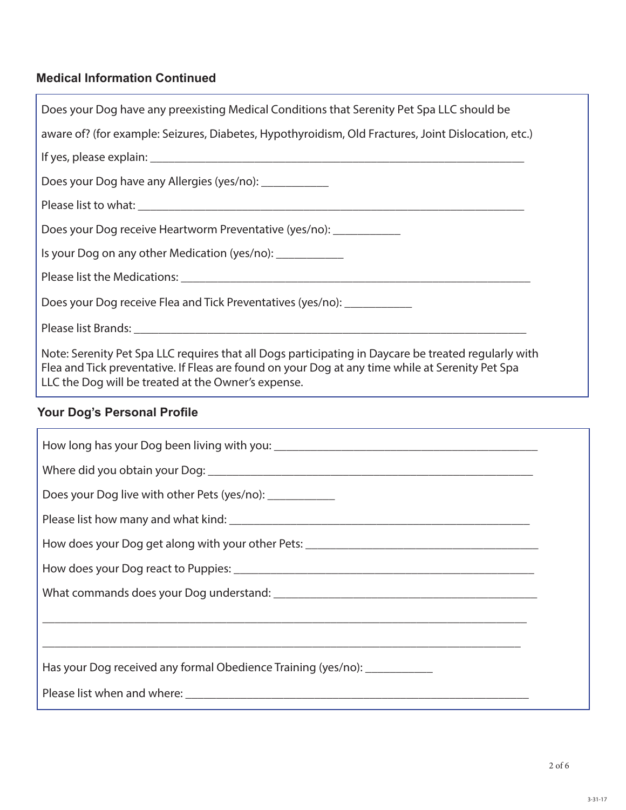## **Medical Information Continued**

| Does your Dog have any preexisting Medical Conditions that Serenity Pet Spa LLC should be                                                                                                                                                                       |
|-----------------------------------------------------------------------------------------------------------------------------------------------------------------------------------------------------------------------------------------------------------------|
| aware of? (for example: Seizures, Diabetes, Hypothyroidism, Old Fractures, Joint Dislocation, etc.)                                                                                                                                                             |
|                                                                                                                                                                                                                                                                 |
| Does your Dog have any Allergies (yes/no): _____________                                                                                                                                                                                                        |
|                                                                                                                                                                                                                                                                 |
| Does your Dog receive Heartworm Preventative (yes/no): ___________                                                                                                                                                                                              |
| Is your Dog on any other Medication (yes/no): ___________                                                                                                                                                                                                       |
|                                                                                                                                                                                                                                                                 |
| Does your Dog receive Flea and Tick Preventatives (yes/no): ____________                                                                                                                                                                                        |
|                                                                                                                                                                                                                                                                 |
| Note: Serenity Pet Spa LLC requires that all Dogs participating in Daycare be treated regularly with<br>Flea and Tick preventative. If Fleas are found on your Dog at any time while at Serenity Pet Spa<br>LLC the Dog will be treated at the Owner's expense. |
| <b>Your Dog's Personal Profile</b>                                                                                                                                                                                                                              |

| Does your Dog live with other Pets (yes/no): ____________                                                                                                                                                                      |  |
|--------------------------------------------------------------------------------------------------------------------------------------------------------------------------------------------------------------------------------|--|
|                                                                                                                                                                                                                                |  |
|                                                                                                                                                                                                                                |  |
|                                                                                                                                                                                                                                |  |
|                                                                                                                                                                                                                                |  |
|                                                                                                                                                                                                                                |  |
|                                                                                                                                                                                                                                |  |
| Has your Dog received any formal Obedience Training (yes/no):                                                                                                                                                                  |  |
| Please list when and where: example a state of the state of the state of the state of the state of the state of the state of the state of the state of the state of the state of the state of the state of the state of the st |  |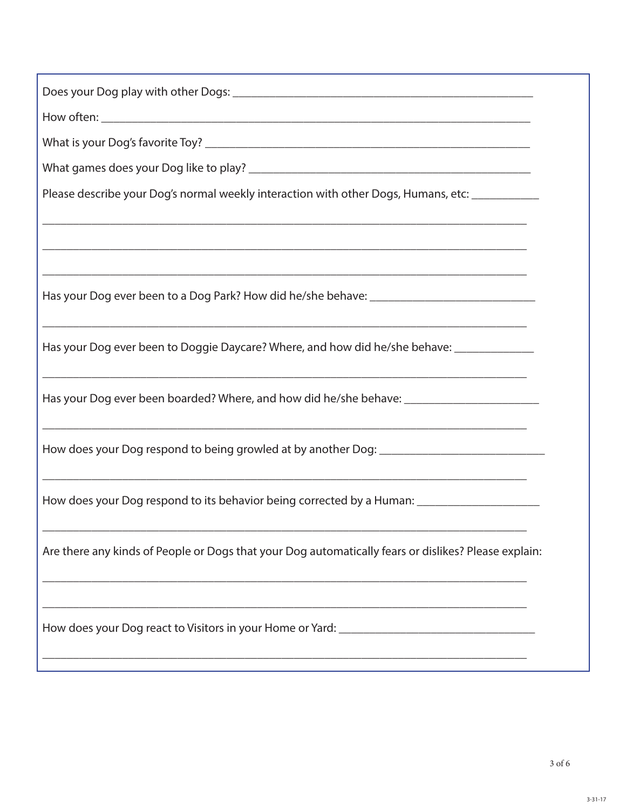| Please describe your Dog's normal weekly interaction with other Dogs, Humans, etc: ____________      |
|------------------------------------------------------------------------------------------------------|
|                                                                                                      |
|                                                                                                      |
|                                                                                                      |
|                                                                                                      |
|                                                                                                      |
| Has your Dog ever been to Doggie Daycare? Where, and how did he/she behave: _______________          |
|                                                                                                      |
| Has your Dog ever been boarded? Where, and how did he/she behave: __________________________________ |
|                                                                                                      |
|                                                                                                      |
| <u> 1989 - Johann Stoff, amerikansk politiker (d. 1989)</u>                                          |
| How does your Dog respond to its behavior being corrected by a Human: ______________________________ |
|                                                                                                      |
| Are there any kinds of People or Dogs that your Dog automatically fears or dislikes? Please explain: |
|                                                                                                      |
|                                                                                                      |
|                                                                                                      |
|                                                                                                      |
|                                                                                                      |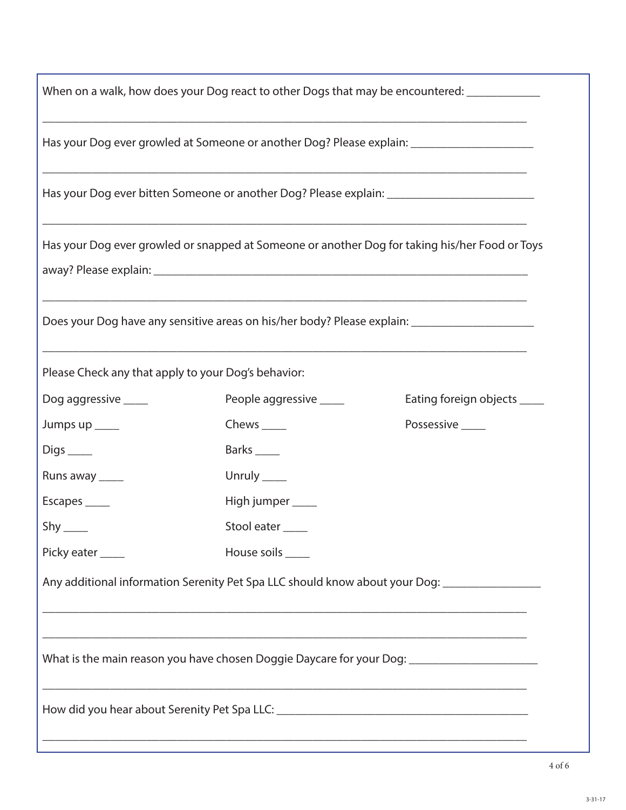|                                                     |                                                                                  | When on a walk, how does your Dog react to other Dogs that may be encountered: ____________          |
|-----------------------------------------------------|----------------------------------------------------------------------------------|------------------------------------------------------------------------------------------------------|
|                                                     |                                                                                  |                                                                                                      |
|                                                     |                                                                                  | Has your Dog ever growled at Someone or another Dog? Please explain: ______________________________  |
|                                                     |                                                                                  | Has your Dog ever bitten Someone or another Dog? Please explain: ___________________________________ |
|                                                     |                                                                                  | Has your Dog ever growled or snapped at Someone or another Dog for taking his/her Food or Toys       |
|                                                     |                                                                                  | Does your Dog have any sensitive areas on his/her body? Please explain: ___________________________  |
| Please Check any that apply to your Dog's behavior: |                                                                                  |                                                                                                      |
| Dog aggressive _____                                | People aggressive _____                                                          | Eating foreign objects ____                                                                          |
| Jumps up ____                                       | Chews $\_\_\_\_\$                                                                | Possessive _____                                                                                     |
| $Digs$ <sub>_____</sub>                             | Barks _____                                                                      |                                                                                                      |
| Runs away _____                                     | Unruly _____                                                                     |                                                                                                      |
| Escapes _____                                       | High jumper ____                                                                 |                                                                                                      |
| $Shy$ <sub>_____</sub>                              | Stool eater                                                                      |                                                                                                      |
| Picky eater _____                                   | House soils _____                                                                |                                                                                                      |
|                                                     |                                                                                  | Any additional information Serenity Pet Spa LLC should know about your Dog: _______________________  |
|                                                     |                                                                                  |                                                                                                      |
|                                                     |                                                                                  | What is the main reason you have chosen Doggie Daycare for your Dog: _______________________________ |
|                                                     | ,我们也不能在这里的时候,我们也不能在这里的时候,我们也不能会在这里的时候,我们也不能会在这里的时候,我们也不能会在这里的时候,我们也不能会在这里的时候,我们也 |                                                                                                      |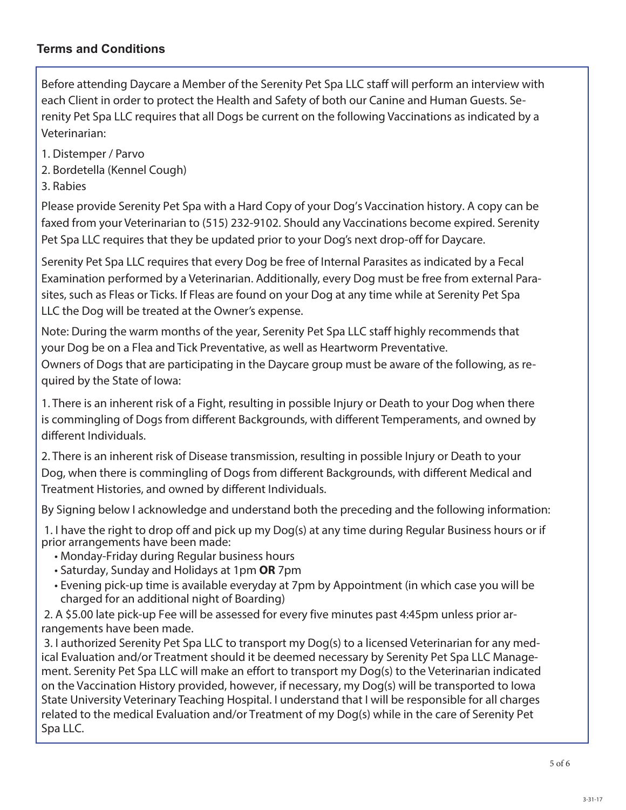#### **Terms and Conditions**

Before attending Daycare a Member of the Serenity Pet Spa LLC staff will perform an interview with each Client in order to protect the Health and Safety of both our Canine and Human Guests. Serenity Pet Spa LLC requires that all Dogs be current on the following Vaccinations as indicated by a Veterinarian:

- 1. Distemper / Parvo
- 2. Bordetella (Kennel Cough)

3. Rabies

Please provide Serenity Pet Spa with a Hard Copy of your Dog's Vaccination history. A copy can be faxed from your Veterinarian to (515) 232-9102. Should any Vaccinations become expired. Serenity Pet Spa LLC requires that they be updated prior to your Dog's next drop-off for Daycare.

Serenity Pet Spa LLC requires that every Dog be free of Internal Parasites as indicated by a Fecal Examination performed by a Veterinarian. Additionally, every Dog must be free from external Parasites, such as Fleas or Ticks. If Fleas are found on your Dog at any time while at Serenity Pet Spa LLC the Dog will be treated at the Owner's expense.

Note: During the warm months of the year, Serenity Pet Spa LLC staff highly recommends that your Dog be on a Flea and Tick Preventative, as well as Heartworm Preventative.

Owners of Dogs that are participating in the Daycare group must be aware of the following, as required by the State of Iowa:

1. There is an inherent risk of a Fight, resulting in possible Injury or Death to your Dog when there is commingling of Dogs from different Backgrounds, with different Temperaments, and owned by different Individuals.

2. There is an inherent risk of Disease transmission, resulting in possible Injury or Death to your Dog, when there is commingling of Dogs from different Backgrounds, with different Medical and Treatment Histories, and owned by different Individuals.

By Signing below I acknowledge and understand both the preceding and the following information:

1. I have the right to drop off and pick up my Dog(s) at any time during Regular Business hours or if prior arrangements have been made:

- Monday-Friday during Regular business hours
- Saturday, Sunday and Holidays at 1pm **OR** 7pm
- Evening pick-up time is available everyday at 7pm by Appointment (in which case you will be charged for an additional night of Boarding)

2. A \$5.00 late pick-up Fee will be assessed for every five minutes past 4:45pm unless prior arrangements have been made.

3. I authorized Serenity Pet Spa LLC to transport my Dog(s) to a licensed Veterinarian for any medical Evaluation and/or Treatment should it be deemed necessary by Serenity Pet Spa LLC Management. Serenity Pet Spa LLC will make an effort to transport my Dog(s) to the Veterinarian indicated on the Vaccination History provided, however, if necessary, my Dog(s) will be transported to Iowa State University Veterinary Teaching Hospital. I understand that I will be responsible for all charges related to the medical Evaluation and/or Treatment of my Dog(s) while in the care of Serenity Pet Spa LLC.